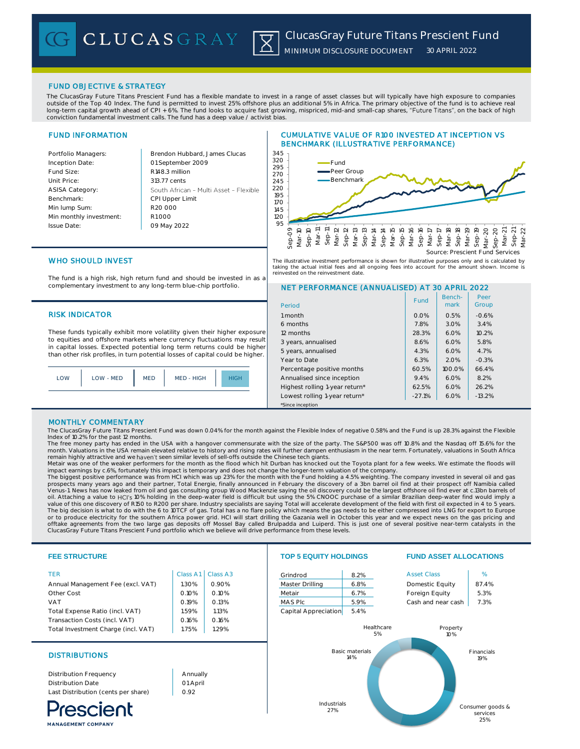CLUCASGRAY |X|

### FUND OBJECTIVE & STRATEGY

The ClucasGray Future Titans Prescient Fund has a flexible mandate to invest in a range of asset classes but will typically have high exposure to companies outside of the Top 40 Index. The fund is permitted to invest 25% offshore plus an additional 5% in Africa. The primary objective of the fund is to achieve real long-term capital growth ahead of CPI + 6%. The fund looks to acquire fast growing, mispriced, mid-and small-cap shares, "**Future Titans**", on the back of high<br>conviction fundamental investment calls. The fund has a deep v

# FUND INFORMATION

| Brendon Hub    |
|----------------|
| 01 September   |
| R148.3 million |
| 313.77 cents   |
| South African  |
| CPI Upper Lin  |
| R20,000        |
| R1000          |
| 09 May 2022    |
|                |

Portfolio Managers: Brendon Hubbard, James Clucas nber 2009 rican - Multi Asset - Flexible **CPI Limit** 09 May 2022 **95** 

# CUMULATIVE VALUE OF R100 INVESTED AT INCEPTION VS BENCHMARK (ILLUSTRATIVE PERFORMANCE)



The illustrative investment performance is shown for illustrative purposes only and is calculated by taking the actual initial fees and all ongoing fees into account for the amount shown. Income is reinvested on the reinvestment date.

> Benchmark

Fund | Berich- | Peer<br>| mark | Group

Peer

NET PERFORMANCE (ANNUALISED) AT 30 APRIL 2022

6 months 3.4% 12 months 28.3% 6.0% 10.2% 3 years, annualised 8.6% 6.0% 5.8% 5 years, annualised 1.4.3% 6.0% 4.7% Year to Date 6.3% 2.0% -0.3% Percentage positive months  $\begin{array}{|c|c|c|c|c|c|c|c|c|} \hline \end{array}$  66.4% Annualised since inception  $9.4\%$  6.0% 8.2% Highest rolling 1-year return\*  $62.5\%$  6.0% 26.2% Lowest rolling 1-year return\* | -27.1% | 6.0% | -13.2%

# WHO SHOULD INVEST

The fund is a high risk, high return fund and should be invested in as a complementary investment to any long-term blue-chip portfolio.

## RISK INDICATOR **1 month** 1 month 1 month 0.0% 0.5% -0.6% -0.6% -0.6% -0.6% -0.6% -0.6% -0.6% -0.6% -0.6% -0.6% -0.6% -0.6% -0.6% -0.6% -0.6% -0.6% -0.6% -0.6% -0.6% -0.6% -0.6% -0.6% -0.6% -0.6% -0.6% -0.6% -0.6% -0.6% -0.

These funds typically exhibit more volatility given their higher exposure to equities and offshore markets where currency fluctuations may result in capital losses. Expected potential long term returns could be higher than other risk profiles, in turn potential losses of capital could be higher.



### MONTHLY COMMENTARY

The ClucasGray Future Titans Prescient Fund was down 0.04% for the month against the Flexible Index of negative 0.58% and the Fund is up 28.3% against the Flexible<br>Index of 10.2% for the past 12 months.

\*Since inception

Period

The free money party has ended in the USA with a hangover commensurate with the size of the party. The S&P500 was off 10.8% and the Nasdaq off 15.6% for the month. Valuations in the USA remain elevated relative to history and rising rates will further dampen enthusiasm in the near term. Fortunately, valuations in South Africa<br>remain highly attractive and we **haven't** seen simi

Metair was one of the weaker performers for the month as the flood which hit Durban has knocked out the Toyota plant for a few weeks. We estimate the floods will impact earnings by c.6%, fortunately this impact is temporary and does not change the longer-term valuation of the company.<br>The biggest positive performance was from HCI which was up 23% for the month with the Fund holding

prospects many years ago and their partner, Total Energie, finally announced in February the discovery of a 3bn barrel oil find at their prospect off Namibia called Venus-1. News has now leaked from oil and gas consulting group Wood Mackenzie saying the oil discovery could be the largest offshore oil find ever at c.13bn barrels of<br>oil. Attaching a value to HCl's 10% holding in the dee value of this one discovery of R150 to R200 per share. Industry specialists are saying Total will accelerate development of the field with first oil expected in 4 to 5 years. The big decision is what to do with the 6 to 10TCF of gas. Total has a no flare policy which means the gas needs to be either compressed into LNG for export to Europe<br>or to produce electricity for the southern Africa power offtake agreements from the two large gas deposits off Mossel Bay called Brulpadda and Luiperd. This is just one of several positive near-term catalysts in the ClucasGray Future Titans Prescient Fund portfolio which we believe will drive performance from these levels.

### **FEE STRUCTURE TOP 5 EQUITY HOLDINGS FUND ASSET ALLOCATIONS** TER Class A1 Class A3 Grindrod 8.2% Asset Class 8.3 King and Asset Class 8.2% Asset Class 8.1 King A Annual Management Fee (excl. VAT)  $\begin{array}{|c|c|c|c|c|c|c|c|c|} \hline \text{1.30\%} & \text{0.90\%} & \text{Master Drilling} & \text{6.8\%} & \text{Domestic Equity} & \text{87.4\%} \hline \end{array}$ Other Cost 0.10% 0.10% Metair 6.7% Foreign Equity 5.3% VAT Cash and near cash 0.19% 0.13% MAS Plc 5.9% Cash and near cash 7.3% Total Expense Ratio (incl. VAT)  $\begin{array}{|c|c|c|c|c|c|c|c|c|} \hline \text{1.13\%} & \text{1.13\%} \hline \end{array}$  Capital Appreciation 5.4% Transaction Costs (incl. VAT)  $\vert$  0.16% 0.16% Property Healthcare Total Investment Charge (incl. VAT) | 1.75% | 1.29% 5% 10% Basic materials Financials DISTRIBUTIONS 14% 19% Distribution Frequency Annually Distribution Date 01 April 0.92 Last Distribution (cents per share) Industrials Consumer goods & rescient 27% services 25%

MANAGEMENT COMPANY